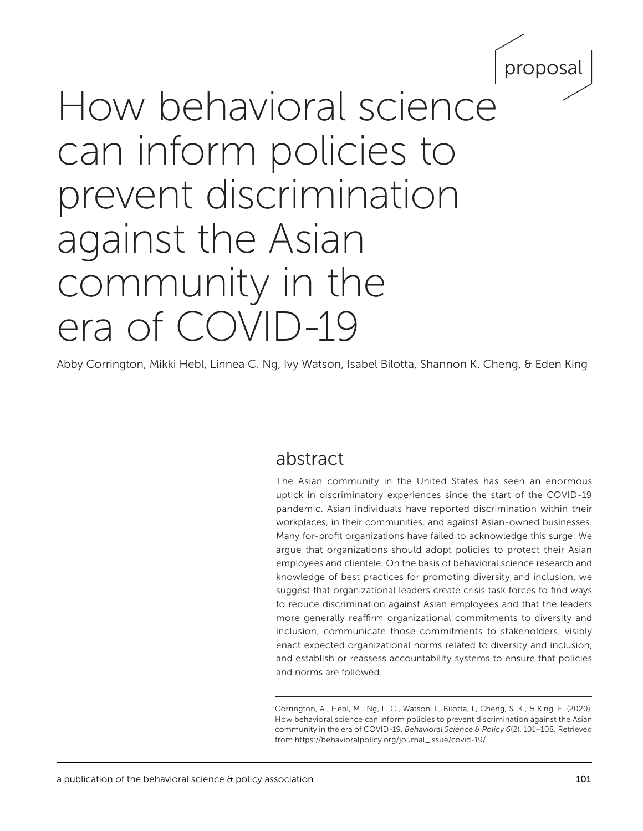

# How behavioral science can inform policies to prevent discrimination against the Asian community in the era of COVID-19

Abby Corrington, Mikki Hebl, Linnea C. Ng, Ivy Watson, Isabel Bilotta, Shannon K. Cheng, & Eden King

# abstract

The Asian community in the United States has seen an enormous uptick in discriminatory experiences since the start of the COVID-19 pandemic. Asian individuals have reported discrimination within their workplaces, in their communities, and against Asian-owned businesses. Many for-profit organizations have failed to acknowledge this surge. We argue that organizations should adopt policies to protect their Asian employees and clientele. On the basis of behavioral science research and knowledge of best practices for promoting diversity and inclusion, we suggest that organizational leaders create crisis task forces to find ways to reduce discrimination against Asian employees and that the leaders more generally reaffirm organizational commitments to diversity and inclusion, communicate those commitments to stakeholders, visibly enact expected organizational norms related to diversity and inclusion, and establish or reassess accountability systems to ensure that policies and norms are followed.

Corrington, A., Hebl, M., Ng, L. C., Watson, I., Bilotta, I., Cheng, S. K., & King, E. (2020). How behavioral science can inform policies to prevent discrimination against the Asian community in the era of COVID-19. *Behavioral Science & Policy 6*(2), 101–108*.* Retrieved from https://behavioralpolicy.org/journal\_issue/covid-19/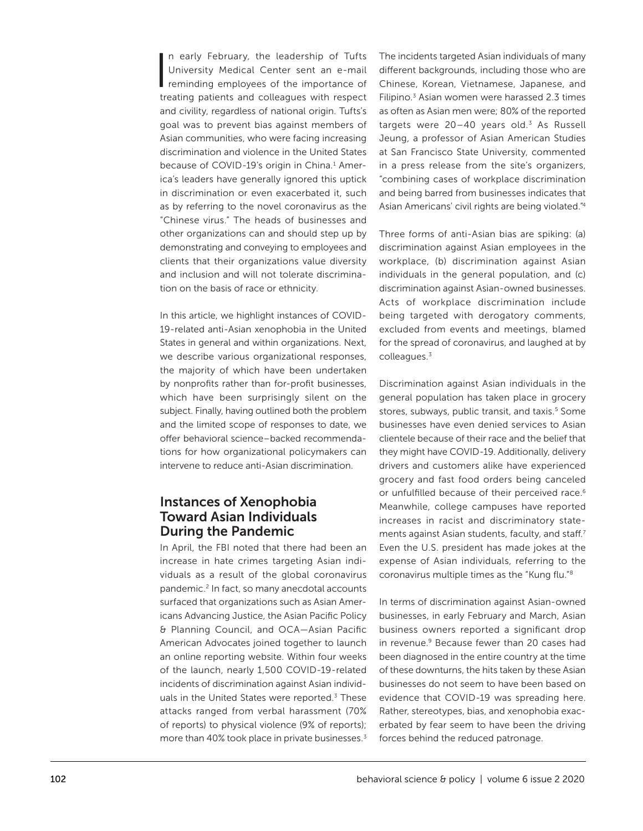In early February, the leadership of Tufts<br>University Medical Center sent an e-mail<br>reminding employees of the importance of n early February, the leadership of Tufts University Medical Center sent an e-mail treating patients and colleagues with respect and civility, regardless of national origin. Tufts's goal was to prevent bias against members of Asian communities, who were facing increasing discrimination and violence in the United States because of COVID-19's origin in China.<sup>1</sup> America's leaders have generally ignored this uptick in discrimination or even exacerbated it, such as by referring to the novel coronavirus as the "Chinese virus." The heads of businesses and other organizations can and should step up by demonstrating and conveying to employees and clients that their organizations value diversity and inclusion and will not tolerate discrimination on the basis of race or ethnicity.

In this article, we highlight instances of COVID-19-related anti-Asian xenophobia in the United States in general and within organizations. Next, we describe various organizational responses, the majority of which have been undertaken by nonprofits rather than for-profit businesses, which have been surprisingly silent on the subject. Finally, having outlined both the problem and the limited scope of responses to date, we offer behavioral science–backed recommendations for how organizational policymakers can intervene to reduce anti-Asian discrimination.

## Instances of Xenophobia Toward Asian Individuals During the Pandemic

In April, the FBI noted that there had been an increase in hate crimes targeting Asian individuals as a result of the global coronavirus pandemic.<sup>2</sup> In fact, so many anecdotal accounts surfaced that organizations such as Asian Americans Advancing Justice, the Asian Pacific Policy & Planning Council, and OCA—Asian Pacific American Advocates joined together to launch an online reporting website. Within four weeks of the launch, nearly 1,500 COVID-19-related incidents of discrimination against Asian individuals in the United States were reported.<sup>3</sup> These attacks ranged from verbal harassment (70% of reports) to physical violence (9% of reports); more than 40% took place in private businesses.<sup>3</sup>

The incidents targeted Asian individuals of many different backgrounds, including those who are Chinese, Korean, Vietnamese, Japanese, and Filipino.<sup>3</sup> Asian women were harassed 2.3 times as often as Asian men were; 80% of the reported targets were  $20-40$  years old.<sup>3</sup> As Russell Jeung, a professor of Asian American Studies at San Francisco State University, commented in a press release from the site's organizers, "combining cases of workplace discrimination and being barred from businesses indicates that Asian Americans' civil rights are being violated."4

Three forms of anti-Asian bias are spiking: (a) discrimination against Asian employees in the workplace, (b) discrimination against Asian individuals in the general population, and (c) discrimination against Asian-owned businesses. Acts of workplace discrimination include being targeted with derogatory comments, excluded from events and meetings, blamed for the spread of coronavirus, and laughed at by colleagues.3

Discrimination against Asian individuals in the general population has taken place in grocery stores, subways, public transit, and taxis.<sup>5</sup> Some businesses have even denied services to Asian clientele because of their race and the belief that they might have COVID-19. Additionally, delivery drivers and customers alike have experienced grocery and fast food orders being canceled or unfulfilled because of their perceived race.<sup>6</sup> Meanwhile, college campuses have reported increases in racist and discriminatory statements against Asian students, faculty, and staff.<sup>7</sup> Even the U.S. president has made jokes at the expense of Asian individuals, referring to the coronavirus multiple times as the "Kung flu."8

In terms of discrimination against Asian-owned businesses, in early February and March, Asian business owners reported a significant drop in revenue.<sup>9</sup> Because fewer than 20 cases had been diagnosed in the entire country at the time of these downturns, the hits taken by these Asian businesses do not seem to have been based on evidence that COVID-19 was spreading here. Rather, stereotypes, bias, and xenophobia exacerbated by fear seem to have been the driving forces behind the reduced patronage.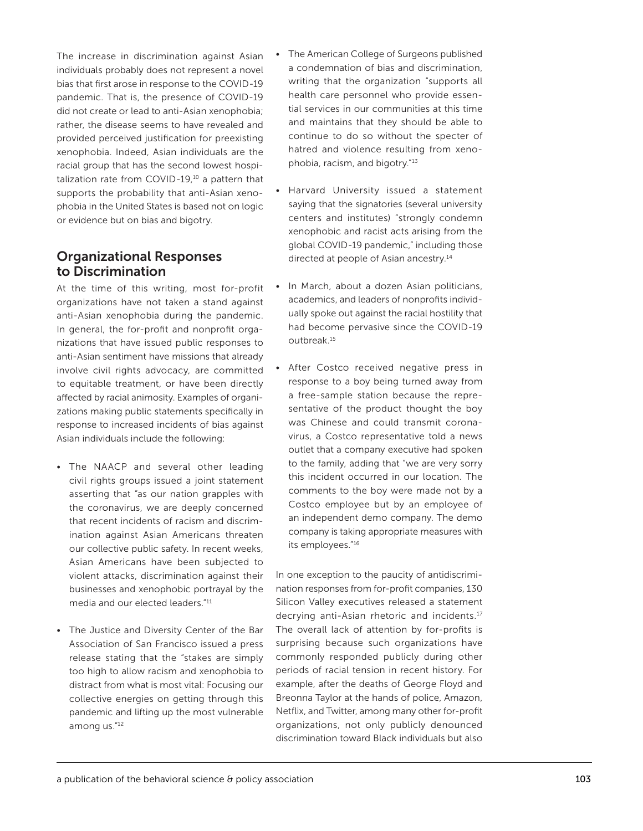The increase in discrimination against Asian individuals probably does not represent a novel bias that first arose in response to the COVID-19 pandemic. That is, the presence of COVID-19 did not create or lead to anti-Asian xenophobia; rather, the disease seems to have revealed and provided perceived justification for preexisting xenophobia. Indeed, Asian individuals are the racial group that has the second lowest hospitalization rate from COVID-19,10 a pattern that supports the probability that anti-Asian xenophobia in the United States is based not on logic or evidence but on bias and bigotry.

# Organizational Responses to Discrimination

At the time of this writing, most for-profit organizations have not taken a stand against anti-Asian xenophobia during the pandemic. In general, the for-profit and nonprofit organizations that have issued public responses to anti-Asian sentiment have missions that already involve civil rights advocacy, are committed to equitable treatment, or have been directly affected by racial animosity. Examples of organizations making public statements specifically in response to increased incidents of bias against Asian individuals include the following:

- The NAACP and several other leading civil rights groups issued a joint statement asserting that "as our nation grapples with the coronavirus, we are deeply concerned that recent incidents of racism and discrimination against Asian Americans threaten our collective public safety. In recent weeks, Asian Americans have been subjected to violent attacks, discrimination against their businesses and xenophobic portrayal by the media and our elected leaders."11
- The Justice and Diversity Center of the Bar Association of San Francisco issued a press release stating that the "stakes are simply too high to allow racism and xenophobia to distract from what is most vital: Focusing our collective energies on getting through this pandemic and lifting up the most vulnerable among us."12
- The American College of Surgeons published a condemnation of bias and discrimination, writing that the organization "supports all health care personnel who provide essential services in our communities at this time and maintains that they should be able to continue to do so without the specter of hatred and violence resulting from xenophobia, racism, and bigotry."13
- Harvard University issued a statement saying that the signatories (several university centers and institutes) "strongly condemn xenophobic and racist acts arising from the global COVID-19 pandemic," including those directed at people of Asian ancestry.<sup>14</sup>
- In March, about a dozen Asian politicians, academics, and leaders of nonprofits individually spoke out against the racial hostility that had become pervasive since the COVID-19 outbreak.15
- After Costco received negative press in response to a boy being turned away from a free-sample station because the representative of the product thought the boy was Chinese and could transmit coronavirus, a Costco representative told a news outlet that a company executive had spoken to the family, adding that "we are very sorry this incident occurred in our location. The comments to the boy were made not by a Costco employee but by an employee of an independent demo company. The demo company is taking appropriate measures with its employees."16

In one exception to the paucity of antidiscrimination responses from for-profit companies, 130 Silicon Valley executives released a statement decrying anti-Asian rhetoric and incidents.<sup>17</sup> The overall lack of attention by for-profits is surprising because such organizations have commonly responded publicly during other periods of racial tension in recent history. For example, after the deaths of George Floyd and Breonna Taylor at the hands of police, Amazon, Netflix, and Twitter, among many other for-profit organizations, not only publicly denounced discrimination toward Black individuals but also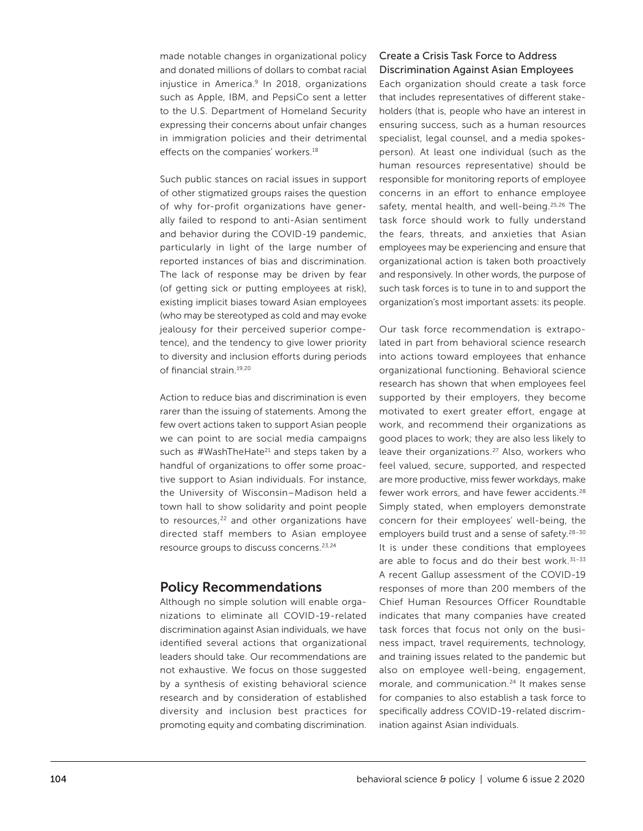made notable changes in organizational policy and donated millions of dollars to combat racial injustice in America.<sup>9</sup> In 2018, organizations such as Apple, IBM, and PepsiCo sent a letter to the U.S. Department of Homeland Security expressing their concerns about unfair changes in immigration policies and their detrimental effects on the companies' workers.<sup>18</sup>

Such public stances on racial issues in support of other stigmatized groups raises the question of why for-profit organizations have generally failed to respond to anti-Asian sentiment and behavior during the COVID-19 pandemic, particularly in light of the large number of reported instances of bias and discrimination. The lack of response may be driven by fear (of getting sick or putting employees at risk), existing implicit biases toward Asian employees (who may be stereotyped as cold and may evoke jealousy for their perceived superior competence), and the tendency to give lower priority to diversity and inclusion efforts during periods of financial strain.19,20

Action to reduce bias and discrimination is even rarer than the issuing of statements. Among the few overt actions taken to support Asian people we can point to are social media campaigns such as  $\#W$ ashTheHate<sup>21</sup> and steps taken by a handful of organizations to offer some proactive support to Asian individuals. For instance, the University of Wisconsin–Madison held a town hall to show solidarity and point people to resources,<sup>22</sup> and other organizations have directed staff members to Asian employee resource groups to discuss concerns.23,24

#### Policy Recommendations

Although no simple solution will enable organizations to eliminate all COVID-19-related discrimination against Asian individuals, we have identified several actions that organizational leaders should take. Our recommendations are not exhaustive. We focus on those suggested by a synthesis of existing behavioral science research and by consideration of established diversity and inclusion best practices for promoting equity and combating discrimination.

#### Create a Crisis Task Force to Address Discrimination Against Asian Employees

Each organization should create a task force that includes representatives of different stakeholders (that is, people who have an interest in ensuring success, such as a human resources specialist, legal counsel, and a media spokesperson). At least one individual (such as the human resources representative) should be responsible for monitoring reports of employee concerns in an effort to enhance employee safety, mental health, and well-being.<sup>25,26</sup> The task force should work to fully understand the fears, threats, and anxieties that Asian employees may be experiencing and ensure that organizational action is taken both proactively and responsively. In other words, the purpose of such task forces is to tune in to and support the organization's most important assets: its people.

Our task force recommendation is extrapolated in part from behavioral science research into actions toward employees that enhance organizational functioning. Behavioral science research has shown that when employees feel supported by their employers, they become motivated to exert greater effort, engage at work, and recommend their organizations as good places to work; they are also less likely to leave their organizations.27 Also, workers who feel valued, secure, supported, and respected are more productive, miss fewer workdays, make fewer work errors, and have fewer accidents.28 Simply stated, when employers demonstrate concern for their employees' well-being, the employers build trust and a sense of safety.<sup>28-30</sup> It is under these conditions that employees are able to focus and do their best work. $31-33$ A recent Gallup assessment of the COVID-19 responses of more than 200 members of the Chief Human Resources Officer Roundtable indicates that many companies have created task forces that focus not only on the business impact, travel requirements, technology, and training issues related to the pandemic but also on employee well-being, engagement, morale, and communication.<sup>24</sup> It makes sense for companies to also establish a task force to specifically address COVID-19-related discrimination against Asian individuals.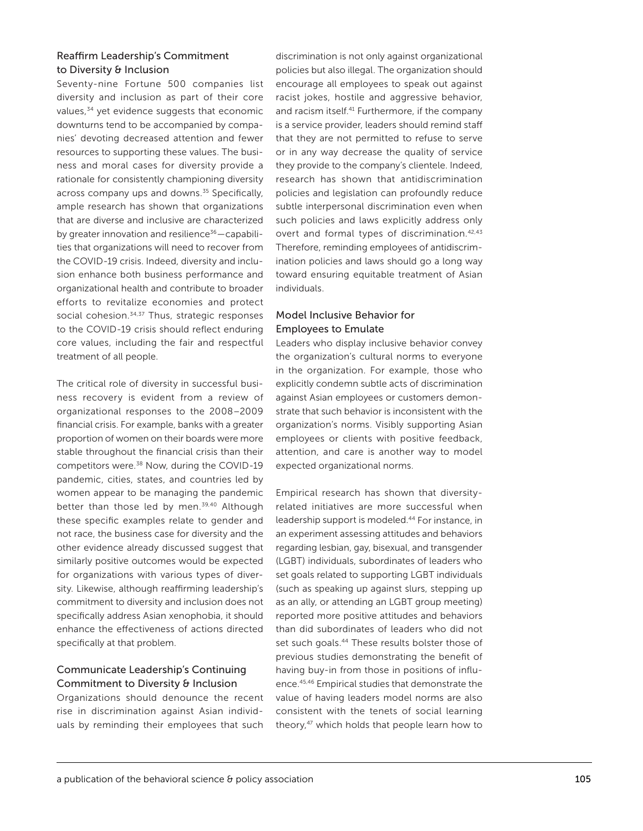#### Reaffirm Leadership's Commitment to Diversity & Inclusion

Seventy-nine Fortune 500 companies list diversity and inclusion as part of their core values,<sup>34</sup> yet evidence suggests that economic downturns tend to be accompanied by companies' devoting decreased attention and fewer resources to supporting these values. The business and moral cases for diversity provide a rationale for consistently championing diversity across company ups and downs.<sup>35</sup> Specifically, ample research has shown that organizations that are diverse and inclusive are characterized by greater innovation and resilience $36 -$ capabilities that organizations will need to recover from the COVID-19 crisis. Indeed, diversity and inclusion enhance both business performance and organizational health and contribute to broader efforts to revitalize economies and protect social cohesion.<sup>34,37</sup> Thus, strategic responses to the COVID-19 crisis should reflect enduring core values, including the fair and respectful treatment of all people.

The critical role of diversity in successful business recovery is evident from a review of organizational responses to the 2008–2009 financial crisis. For example, banks with a greater proportion of women on their boards were more stable throughout the financial crisis than their competitors were.<sup>38</sup> Now, during the COVID-19 pandemic, cities, states, and countries led by women appear to be managing the pandemic better than those led by men.<sup>39,40</sup> Although these specific examples relate to gender and not race, the business case for diversity and the other evidence already discussed suggest that similarly positive outcomes would be expected for organizations with various types of diversity. Likewise, although reaffirming leadership's commitment to diversity and inclusion does not specifically address Asian xenophobia, it should enhance the effectiveness of actions directed specifically at that problem.

#### Communicate Leadership's Continuing Commitment to Diversity & Inclusion

Organizations should denounce the recent rise in discrimination against Asian individuals by reminding their employees that such

discrimination is not only against organizational policies but also illegal. The organization should encourage all employees to speak out against racist jokes, hostile and aggressive behavior, and racism itself.<sup>41</sup> Furthermore, if the company is a service provider, leaders should remind staff that they are not permitted to refuse to serve or in any way decrease the quality of service they provide to the company's clientele. Indeed, research has shown that antidiscrimination policies and legislation can profoundly reduce subtle interpersonal discrimination even when such policies and laws explicitly address only overt and formal types of discrimination.<sup>42,43</sup> Therefore, reminding employees of antidiscrimination policies and laws should go a long way toward ensuring equitable treatment of Asian individuals.

#### Model Inclusive Behavior for Employees to Emulate

Leaders who display inclusive behavior convey the organization's cultural norms to everyone in the organization. For example, those who explicitly condemn subtle acts of discrimination against Asian employees or customers demonstrate that such behavior is inconsistent with the organization's norms. Visibly supporting Asian employees or clients with positive feedback, attention, and care is another way to model expected organizational norms.

Empirical research has shown that diversityrelated initiatives are more successful when leadership support is modeled.44 For instance, in an experiment assessing attitudes and behaviors regarding lesbian, gay, bisexual, and transgender (LGBT) individuals, subordinates of leaders who set goals related to supporting LGBT individuals (such as speaking up against slurs, stepping up as an ally, or attending an LGBT group meeting) reported more positive attitudes and behaviors than did subordinates of leaders who did not set such goals.<sup>44</sup> These results bolster those of previous studies demonstrating the benefit of having buy-in from those in positions of influence.45,46 Empirical studies that demonstrate the value of having leaders model norms are also consistent with the tenets of social learning theory,<sup>47</sup> which holds that people learn how to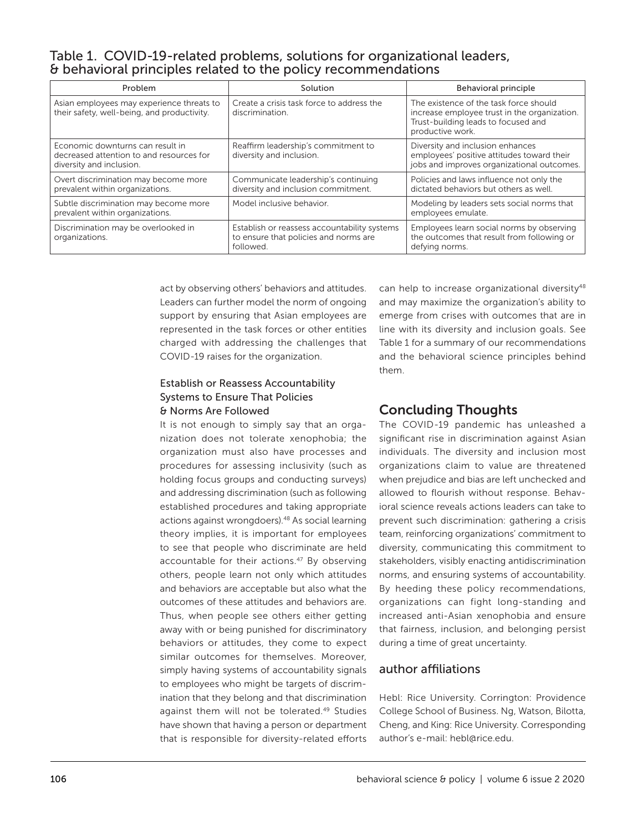# Table 1. COVID-19-related problems, solutions for organizational leaders, & behavioral principles related to the policy recommendations

| Problem                                                                                                  | Solution                                                                                           | Behavioral principle                                                                                                                              |
|----------------------------------------------------------------------------------------------------------|----------------------------------------------------------------------------------------------------|---------------------------------------------------------------------------------------------------------------------------------------------------|
| Asian employees may experience threats to<br>their safety, well-being, and productivity.                 | Create a crisis task force to address the<br>discrimination.                                       | The existence of the task force should<br>increase employee trust in the organization.<br>Trust-building leads to focused and<br>productive work. |
| Economic downturns can result in<br>decreased attention to and resources for<br>diversity and inclusion. | Reaffirm leadership's commitment to<br>diversity and inclusion.                                    | Diversity and inclusion enhances<br>employees' positive attitudes toward their<br>jobs and improves organizational outcomes.                      |
| Overt discrimination may become more<br>prevalent within organizations.                                  | Communicate leadership's continuing<br>diversity and inclusion commitment.                         | Policies and laws influence not only the<br>dictated behaviors but others as well.                                                                |
| Subtle discrimination may become more<br>prevalent within organizations.                                 | Model inclusive behavior.                                                                          | Modeling by leaders sets social norms that<br>employees emulate.                                                                                  |
| Discrimination may be overlooked in<br>organizations.                                                    | Establish or reassess accountability systems<br>to ensure that policies and norms are<br>followed. | Employees learn social norms by observing<br>the outcomes that result from following or<br>defying norms.                                         |

act by observing others' behaviors and attitudes. Leaders can further model the norm of ongoing support by ensuring that Asian employees are represented in the task forces or other entities charged with addressing the challenges that COVID-19 raises for the organization.

#### Establish or Reassess Accountability Systems to Ensure That Policies & Norms Are Followed

It is not enough to simply say that an organization does not tolerate xenophobia; the organization must also have processes and procedures for assessing inclusivity (such as holding focus groups and conducting surveys) and addressing discrimination (such as following established procedures and taking appropriate actions against wrongdoers).48 As social learning theory implies, it is important for employees to see that people who discriminate are held accountable for their actions.<sup>47</sup> By observing others, people learn not only which attitudes and behaviors are acceptable but also what the outcomes of these attitudes and behaviors are. Thus, when people see others either getting away with or being punished for discriminatory behaviors or attitudes, they come to expect similar outcomes for themselves. Moreover, simply having systems of accountability signals to employees who might be targets of discrimination that they belong and that discrimination against them will not be tolerated.49 Studies have shown that having a person or department that is responsible for diversity-related efforts can help to increase organizational diversity<sup>48</sup> and may maximize the organization's ability to emerge from crises with outcomes that are in line with its diversity and inclusion goals. See Table 1 for a summary of our recommendations and the behavioral science principles behind them.

# Concluding Thoughts

The COVID-19 pandemic has unleashed a significant rise in discrimination against Asian individuals. The diversity and inclusion most organizations claim to value are threatened when prejudice and bias are left unchecked and allowed to flourish without response. Behavioral science reveals actions leaders can take to prevent such discrimination: gathering a crisis team, reinforcing organizations' commitment to diversity, communicating this commitment to stakeholders, visibly enacting antidiscrimination norms, and ensuring systems of accountability. By heeding these policy recommendations, organizations can fight long-standing and increased anti-Asian xenophobia and ensure that fairness, inclusion, and belonging persist during a time of great uncertainty.

# author affiliations

Hebl: Rice University. Corrington: Providence College School of Business. Ng, Watson, Bilotta, Cheng, and King: Rice University. Corresponding author's e-mail: [hebl@rice.edu](mailto:hebl@rice.edu).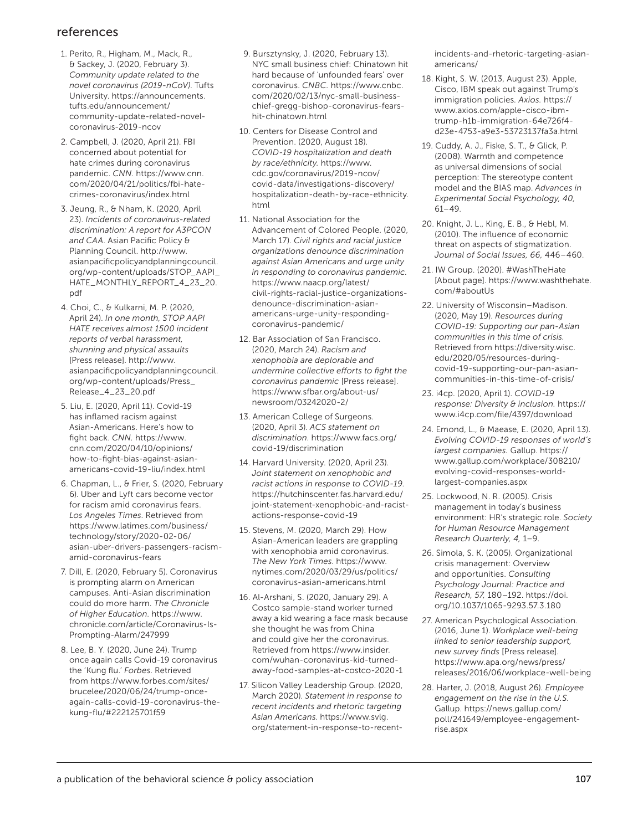## references

- 1. Perito, R., Higham, M., Mack, R., & Sackey, J. (2020, February 3). *Community update related to the novel coronavirus (2019-nCoV)*. Tufts University. [https://announcements.](https://announcements.tufts.edu/announcement/community-update-related-novel-coronavirus-2019-ncov) [tufts.edu/announcement/](https://announcements.tufts.edu/announcement/community-update-related-novel-coronavirus-2019-ncov) [community-update-related-novel](https://announcements.tufts.edu/announcement/community-update-related-novel-coronavirus-2019-ncov)[coronavirus-2019-ncov](https://announcements.tufts.edu/announcement/community-update-related-novel-coronavirus-2019-ncov)
- 2. Campbell, J. (2020, April 21). FBI concerned about potential for hate crimes during coronavirus pandemic. *CNN.* [https://www.cnn.](https://www.cnn.com/2020/04/21/politics/fbi-hate-crimes-coronavirus/index.html) [com/2020/04/21/politics/fbi-hate](https://www.cnn.com/2020/04/21/politics/fbi-hate-crimes-coronavirus/index.html)[crimes-coronavirus/index.html](https://www.cnn.com/2020/04/21/politics/fbi-hate-crimes-coronavirus/index.html)
- 3. Jeung, R., & Nham, K. (2020, April 23). *Incidents of coronavirus-related discrimination: A report for A3PCON and CAA*. Asian Pacific Policy & Planning Council. [http://www.](http://www.asianpacificpolicyandplanningcouncil.org/wp-content/uploads/STOP_AAPI_HATE_MONTHLY_REPORT_4_23_20.pdf) [asianpacificpolicyandplanningcouncil.](http://www.asianpacificpolicyandplanningcouncil.org/wp-content/uploads/STOP_AAPI_HATE_MONTHLY_REPORT_4_23_20.pdf) [org/wp-content/uploads/STOP\\_AAPI\\_](http://www.asianpacificpolicyandplanningcouncil.org/wp-content/uploads/STOP_AAPI_HATE_MONTHLY_REPORT_4_23_20.pdf) [HATE\\_MONTHLY\\_REPORT\\_4\\_23\\_20.](http://www.asianpacificpolicyandplanningcouncil.org/wp-content/uploads/STOP_AAPI_HATE_MONTHLY_REPORT_4_23_20.pdf) [pdf](http://www.asianpacificpolicyandplanningcouncil.org/wp-content/uploads/STOP_AAPI_HATE_MONTHLY_REPORT_4_23_20.pdf)
- 4. Choi, C., & Kulkarni, M. P. (2020, April 24). *In one month, STOP AAPI HATE receives almost 1500 incident reports of verbal harassment, shunning and physical assaults* [Press release]. [http://www.](http://www.asianpacificpolicyandplanningcouncil.org/wp-content/uploads/Press_Release_4_23_20.pdf) [asianpacificpolicyandplanningcouncil.](http://www.asianpacificpolicyandplanningcouncil.org/wp-content/uploads/Press_Release_4_23_20.pdf) [org/wp-content/uploads/Press\\_](http://www.asianpacificpolicyandplanningcouncil.org/wp-content/uploads/Press_Release_4_23_20.pdf) [Release\\_4\\_23\\_20.pdf](http://www.asianpacificpolicyandplanningcouncil.org/wp-content/uploads/Press_Release_4_23_20.pdf)
- 5. Liu, E. (2020, April 11). Covid-19 has inflamed racism against Asian-Americans. Here's how to fight back. *CNN.* [https://www.](https://www.cnn.com/2020/04/10/opinions/how-to-fight-bias-against-asian-americans-covid-19-liu/index.html) [cnn.com/2020/04/10/opinions/](https://www.cnn.com/2020/04/10/opinions/how-to-fight-bias-against-asian-americans-covid-19-liu/index.html)  [how-to-fight-bias-against-asian](https://www.cnn.com/2020/04/10/opinions/how-to-fight-bias-against-asian-americans-covid-19-liu/index.html)[americans-covid-19-liu/index.html](https://www.cnn.com/2020/04/10/opinions/how-to-fight-bias-against-asian-americans-covid-19-liu/index.html)
- 6. Chapman, L., & Frier, S. (2020, February 6). Uber and Lyft cars become vector for racism amid coronavirus fears. *Los Angeles Times*. Retrieved from [https://www.latimes.com/business/](https://www.latimes.com/business/technology/story/2020-02-06/asian-uber-drivers-passengers-racism-amid-coronavirus-fears) [technology/story/2020-02-06/](https://www.latimes.com/business/technology/story/2020-02-06/asian-uber-drivers-passengers-racism-amid-coronavirus-fears) [asian-uber-drivers-passengers-racism](https://www.latimes.com/business/technology/story/2020-02-06/asian-uber-drivers-passengers-racism-amid-coronavirus-fears)[amid-coronavirus-fears](https://www.latimes.com/business/technology/story/2020-02-06/asian-uber-drivers-passengers-racism-amid-coronavirus-fears)
- 7. Dill, E. (2020, February 5). Coronavirus is prompting alarm on American campuses. Anti-Asian discrimination could do more harm. *The Chronicle of Higher Education*. [https://www.](https://www.chronicle.com/article/Coronavirus-Is-Prompting-Alarm/247999) [chronicle.com/article/Coronavirus-Is-](https://www.chronicle.com/article/Coronavirus-Is-Prompting-Alarm/247999)[Prompting-Alarm/247999](https://www.chronicle.com/article/Coronavirus-Is-Prompting-Alarm/247999)
- 8. Lee, B. Y. (2020, June 24). Trump once again calls Covid-19 coronavirus the 'Kung flu.' *Forbes*. Retrieved from [https://www.forbes.com/sites/](https://www.forbes.com/sites/brucelee/2020/06/24/trump-once-again-calls-covid-19-coronavirus-the-kung-flu/#222125701f59) [brucelee/2020/06/24/trump-once](https://www.forbes.com/sites/brucelee/2020/06/24/trump-once-again-calls-covid-19-coronavirus-the-kung-flu/#222125701f59)[again-calls-covid-19-coronavirus-the](https://www.forbes.com/sites/brucelee/2020/06/24/trump-once-again-calls-covid-19-coronavirus-the-kung-flu/#222125701f59)[kung-flu/#222125701f59](https://www.forbes.com/sites/brucelee/2020/06/24/trump-once-again-calls-covid-19-coronavirus-the-kung-flu/#222125701f59)
- 9. Bursztynsky, J. (2020, February 13). NYC small business chief: Chinatown hit hard because of 'unfounded fears' over coronavirus. *CNBC.* [https://www.cnbc.](https://www.cnbc.com/2020/02/13/nyc-small-business-chief-gregg-bishop-coronavirus-fears-hit-chinatown.html) [com/2020/02/13/nyc-small-business](https://www.cnbc.com/2020/02/13/nyc-small-business-chief-gregg-bishop-coronavirus-fears-hit-chinatown.html)[chief-gregg-bishop-coronavirus-fears](https://www.cnbc.com/2020/02/13/nyc-small-business-chief-gregg-bishop-coronavirus-fears-hit-chinatown.html)[hit-chinatown.html](https://www.cnbc.com/2020/02/13/nyc-small-business-chief-gregg-bishop-coronavirus-fears-hit-chinatown.html)
- 10. Centers for Disease Control and Prevention. (2020, August 18). *COVID-19 hospitalization and death by race/ethnicity.* [https://www.](https://www.cdc.gov/coronavirus/2019-ncov/covid-data/investigations-discovery/hospitalization-death-by-race-ethnicity.html) [cdc.gov/coronavirus/2019-ncov/](https://www.cdc.gov/coronavirus/2019-ncov/covid-data/investigations-discovery/hospitalization-death-by-race-ethnicity.html) [covid-data/investigations-discovery/](https://www.cdc.gov/coronavirus/2019-ncov/covid-data/investigations-discovery/hospitalization-death-by-race-ethnicity.html) [hospitalization-death-by-race-ethnicity.](https://www.cdc.gov/coronavirus/2019-ncov/covid-data/investigations-discovery/hospitalization-death-by-race-ethnicity.html) [html](https://www.cdc.gov/coronavirus/2019-ncov/covid-data/investigations-discovery/hospitalization-death-by-race-ethnicity.html)
- 11. National Association for the Advancement of Colored People. (2020, March 17). *Civil rights and racial justice organizations denounce discrimination against Asian Americans and urge unity in responding to coronavirus pandemic.*  [https://www.naacp.org/latest/](https://www.naacp.org/latest/civil-rights-racial-justice-organizations-denounce-discrimination-asian-americans-urge-unity-responding-coronavirus-pandemic/) [civil-rights-racial-justice-organizations](https://www.naacp.org/latest/civil-rights-racial-justice-organizations-denounce-discrimination-asian-americans-urge-unity-responding-coronavirus-pandemic/)[denounce-discrimination-asian](https://www.naacp.org/latest/civil-rights-racial-justice-organizations-denounce-discrimination-asian-americans-urge-unity-responding-coronavirus-pandemic/)[americans-urge-unity-responding](https://www.naacp.org/latest/civil-rights-racial-justice-organizations-denounce-discrimination-asian-americans-urge-unity-responding-coronavirus-pandemic/)[coronavirus-pandemic/](https://www.naacp.org/latest/civil-rights-racial-justice-organizations-denounce-discrimination-asian-americans-urge-unity-responding-coronavirus-pandemic/)
- 12. Bar Association of San Francisco. (2020, March 24). *Racism and xenophobia are deplorable and undermine collective efforts to fight the coronavirus pandemic* [Press release]. [https://www.sfbar.org/about-us/](https://www.sfbar.org/about-us/newsroom/03242020-2/) [newsroom/03242020-2/](https://www.sfbar.org/about-us/newsroom/03242020-2/)
- 13. American College of Surgeons. (2020, April 3). *ACS statement on discrimination*. [https://www.facs.org/](https://www.facs.org/covid-19/discrimination) [covid-19/discrimination](https://www.facs.org/covid-19/discrimination)
- 14. Harvard University. (2020, April 23). *Joint statement on xenophobic and racist actions in response to COVID-19*. [https://hutchinscenter.fas.harvard.edu/](https://hutchinscenter.fas.harvard.edu/joint-statement-xenophobic-and-racist-actions-response-covid-19) [joint-statement-xenophobic-and-racist](https://hutchinscenter.fas.harvard.edu/joint-statement-xenophobic-and-racist-actions-response-covid-19)[actions-response-covid-19](https://hutchinscenter.fas.harvard.edu/joint-statement-xenophobic-and-racist-actions-response-covid-19)
- 15. Stevens, M. (2020, March 29). How Asian-American leaders are grappling with xenophobia amid coronavirus. *The New York Times*. [https://www.](https://www.nytimes.com/2020/03/29/us/politics/coronavirus-asian-americans.html) [nytimes.com/2020/03/29/us/politics/](https://www.nytimes.com/2020/03/29/us/politics/coronavirus-asian-americans.html) [coronavirus-asian-americans.html](https://www.nytimes.com/2020/03/29/us/politics/coronavirus-asian-americans.html)
- 16. Al-Arshani, S. (2020, January 29). A Costco sample-stand worker turned away a kid wearing a face mask because she thought he was from China and could give her the coronavirus. Retrieved from [https://www.insider.](https://www.insider.com/wuhan-coronavirus-kid-turned-away-food-samples-at-costco-2020-1) [com/wuhan-coronavirus-kid-turned](https://www.insider.com/wuhan-coronavirus-kid-turned-away-food-samples-at-costco-2020-1)[away-food-samples-at-costco-2020-1](https://www.insider.com/wuhan-coronavirus-kid-turned-away-food-samples-at-costco-2020-1)
- 17. Silicon Valley Leadership Group. (2020, March 2020). *Statement in response to recent incidents and rhetoric targeting Asian Americans*. [https://www.svlg.](https://www.svlg.org/statement-in-response-to-recent-incidents-and-rhetoric-targeting-asian-americans/) [org/statement-in-response-to-recent-](https://www.svlg.org/statement-in-response-to-recent-incidents-and-rhetoric-targeting-asian-americans/)

[incidents-and-rhetoric-targeting-asian](https://www.svlg.org/statement-in-response-to-recent-incidents-and-rhetoric-targeting-asian-americans/)[americans/](https://www.svlg.org/statement-in-response-to-recent-incidents-and-rhetoric-targeting-asian-americans/)

- 18. Kight, S. W. (2013, August 23). Apple, Cisco, IBM speak out against Trump's immigration policies*. Axios.* [https://](https://www.axios.com/apple-cisco-ibm-trump-h1b-immigration-64e726f4-d23e-4753-a9e3-53723137fa3a.html) [www.axios.com/apple-cisco-ibm](https://www.axios.com/apple-cisco-ibm-trump-h1b-immigration-64e726f4-d23e-4753-a9e3-53723137fa3a.html)[trump-h1b-immigration-64e726f4](https://www.axios.com/apple-cisco-ibm-trump-h1b-immigration-64e726f4-d23e-4753-a9e3-53723137fa3a.html) [d23e-4753-a9e3-53723137fa3a.html](https://www.axios.com/apple-cisco-ibm-trump-h1b-immigration-64e726f4-d23e-4753-a9e3-53723137fa3a.html)
- 19. Cuddy, A. J., Fiske, S. T., & Glick, P. (2008). Warmth and competence as universal dimensions of social perception: The stereotype content model and the BIAS map. *Advances in Experimental Social Psychology, 40,* 61–49.
- 20. Knight, J. L., King, E. B., & Hebl, M. (2010). The influence of economic threat on aspects of stigmatization. *Journal of Social Issues, 66,* 446–460.
- 21. IW Group. (2020). #WashTheHate [About page]. [https://www.washthehate.](https://www.washthehate.com/#aboutUs) [com/#aboutUs](https://www.washthehate.com/#aboutUs)
- 22. University of Wisconsin–Madison. (2020, May 19). *Resources during COVID-19: Supporting our pan-Asian communities in this time of crisis.*  Retrieved from [https://diversity.wisc.](https://diversity.wisc.edu/2020/05/resources-during-covid-19-supporting-our-pan-asian-communities-in-this-time-of-crisis/) [edu/2020/05/resources-during](https://diversity.wisc.edu/2020/05/resources-during-covid-19-supporting-our-pan-asian-communities-in-this-time-of-crisis/)[covid-19-supporting-our-pan-asian](https://diversity.wisc.edu/2020/05/resources-during-covid-19-supporting-our-pan-asian-communities-in-this-time-of-crisis/)[communities-in-this-time-of-crisis/](https://diversity.wisc.edu/2020/05/resources-during-covid-19-supporting-our-pan-asian-communities-in-this-time-of-crisis/)
- 23. i4cp. (2020, April 1). *COVID-19 response: Diversity & inclusion.* [https://](https://www.i4cp.com/file/4397/download) [www.i4cp.com/file/4397/download](https://www.i4cp.com/file/4397/download)
- 24. Emond, L., & Maease, E. (2020, April 13). *Evolving COVID-19 responses of world's largest companies.* Gallup. [https://](https://www.gallup.com/workplace/308210/evolving-covid-responses-world-largest-companies.aspx) [www.gallup.com/workplace/308210/](https://www.gallup.com/workplace/308210/evolving-covid-responses-world-largest-companies.aspx) [evolving-covid-responses-world](https://www.gallup.com/workplace/308210/evolving-covid-responses-world-largest-companies.aspx)[largest-companies.aspx](https://www.gallup.com/workplace/308210/evolving-covid-responses-world-largest-companies.aspx)
- 25. Lockwood, N. R. (2005). Crisis management in today's business environment: HR's strategic role. *Society for Human Resource Management Research Quarterly, 4,* 1–9.
- 26. Simola, S. K. (2005). Organizational crisis management: Overview and opportunities. *Consulting Psychology Journal: Practice and Research, 57,* 180–192. [https://doi.](https://doi.org/10.1037/1065-9293.57.3.180) [org/10.1037/1065-9293.57.3.180](https://doi.org/10.1037/1065-9293.57.3.180)
- 27. American Psychological Association. (2016, June 1). *Workplace well-being linked to senior leadership support, new survey finds* [Press release]. [https://www.apa.org/news/press/](https://www.apa.org/news/press/releases/2016/06/workplace-well-being) [releases/2016/06/workplace-well-being](https://www.apa.org/news/press/releases/2016/06/workplace-well-being)
- 28. Harter, J. (2018, August 26). *Employee engagement on the rise in the U.S.*  Gallup. [https://news.gallup.com/](https://news.gallup.com/poll/241649/employee-engagement-rise.aspx) [poll/241649/employee-engagement](https://news.gallup.com/poll/241649/employee-engagement-rise.aspx)[rise.aspx](https://news.gallup.com/poll/241649/employee-engagement-rise.aspx)